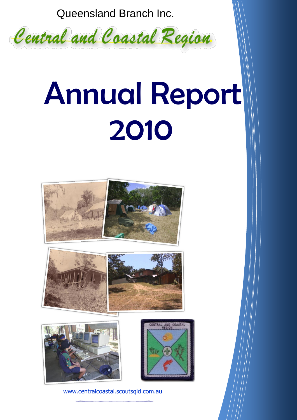Queensland Branch Inc.



# Annual Report 2010









www.centralcoastal.scoutsqld.com.au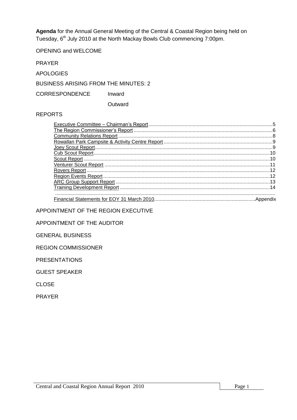**Agenda** for the Annual General Meeting of the Central & Coastal Region being held on Tuesday, 6<sup>th</sup> July 2010 at the North Mackay Bowls Club commencing 7:00pm.

OPENING and WELCOME

PRAYER

APOLOGIES

BUSINESS ARISING FROM THE MINUTES: 2

CORRESPONDENCE Inward

**Outward** 

# REPORTS

| 14 |
|----|
|    |

APPOINTMENT OF THE REGION EXECUTIVE

APPOINTMENT OF THE AUDITOR

GENERAL BUSINESS

REGION COMMISSIONER

PRESENTATIONS

GUEST SPEAKER

CLOSE

PRAYER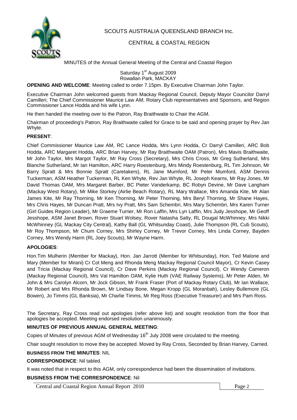

SCOUTS AUSTRALIA QUEENSLAND BRANCH Inc.

# CENTRAL & COASTAL REGION

MINUTES of the Annual General Meeting of the Central and Coastal Region

Saturday 1<sup>st</sup> August 2009 Rowallan Park, MACKAY

### **OPENING AND WELCOME**: Meeting called to order 7.15pm. By Executive Chairman John Taylor.

Executive Chairman John welcomed guests from Mackay Regional Council, Deputy Mayor Councilor Darryl Camilleri; The Chief Commissioner Maurice Law AM; Rotary Club representatives and Sponsors, and Region Commissioner Lance Hodda and his wife Lynn.

He then handed the meeting over to the Patron, Ray Braithwaite to Chair the AGM.

Chairman of proceeding's Patron, Ray Braithwaite called for Grace to be said and opening prayer by Rev Jan Whyte.

### **PRESENT**:

Chief Commissioner Maurice Law AM, RC Lance Hodda, Mrs Lynn Hodda, Cr Darryl Camilleri, ARC Bob Hodda, ARC Margaret Hodda, ARC Brian Harvey, Mr Ray Braithwaite OAM (Patron), Mrs Mavis Braithwaite, Mr John Taylor, Mrs Margot Taylor, Mr Ray Cross (Secretary), Mrs Chris Cross, Mr Greg Sutherland, Mrs Blanche Sutherland, Mr Ian Hamilton, ARC Harry Roestenburg, Mrs Mindy Roestenburg, RL Tim Johnson, Mr Barry Spratt & Mrs Bonnie Spratt (Caretakers), RL Jane Mumford, Mr Peter Mumford, ASM Dennis Tuckerman, ASM Heather Tuckerman, RL Ken Whyte, Rev Jan Whyte, RL Joseph Kearns, Mr Ray Jones, Mr David Thomas OAM, Mrs Margaret Barber, BC Pieter Vanderkamp, BC Robyn Devine, Mr Dave Langham (Mackay West Rotary), Mr Mike Storkey (Airlie Beach Rotary), RL Mary Wallace, Mrs Amanda Kite, Mr Alan James Kite, Mr Ray Thorning, Mr Ken Thorning, Mr Peter Thorning, Mrs Beryl Thorning, Mr Shane Hayes, Mrs Chris Hayes, Mr Duncan Pratt, Mrs Ivy Pratt, Mrs Sam Schembri, Mrs Mary Schembri, Mrs Karen Turner (Girl Guides Region Leader), Mr Graeme Turner, Mr Ron Laffin, Mrs Lyn Laffin, Mrs Judy Jesshope, Mr Geoff Jesshope, ASM Janet Brown, Rover Stuart Wolsey, Rover Natasha Salty, RL Dougal McWhinney, Mrs Nikki McWhinney (GL Mackay City Central), Kathy Ball (GL Whitsunday Coast), Julie Thompson (RL Cub Scouts), Mr Roy Thompson, Mr Chum Corney, Mrs Shirley Corney, Mr Trevor Corney, Mrs Linda Corney, Bayden Corney, Mrs Wendy Harm (RL Joey Scouts), Mr Wayne Harm.

### **APOLOGIES**:

Hon.Tim Mulherin (Member for Mackay), Hon. Jan Jarrott (Member for Whitsunday), Hon. Ted Malone and Mary (Member for Mirani) Cr Col Meng and Rhonda Meng Mackay Regional Council Mayor), Cr Kevin Casey and Tricia (Mackay Regional Council), Cr Dave Perkins (Mackay Regional Council), Cr Wendy Cameron (Mackay Regional Council), Mrs Val Hamilton OAM, Kylie Huth (VAE Railway Systems), Mr Peter Alden, Mr John & Mrs Carolyn Alcorn, Mr Jock Gibson, Mr Frank Fraser (Port of Mackay Rotary Club), Mr Ian Wallace, Mr Robert and Mrs Rhonda Brown, Mr Lindsay Bone, Megan Kropp (GL Moranbah), Lesley Bullemore (GL Bowen), Jo Timms (GL Banksia), Mr Charlie Timms, Mr Reg Ross (Executive Treasurer) and Mrs Pam Ross.

The Secretary, Ray Cross read out apologies (refer above list) and sought resolution from the floor that apologies be accepted. Meeting endorsed resolution unanimously.

### **MINUTES OF PREVIOUS ANNUAL GENERAL MEETING**:

Copies of Minutes of previous AGM of Wednesday 16<sup>th</sup> July 2008 were circulated to the meeting.

Chair sought resolution to move they be accepted. Moved by Ray Cross, Seconded by Brian Harvey, Carried.

### **BUSINESS FROM THE MINUTES**: NIL

**CORRESPONDENCE**: Nil tabled.

It was noted that in respect to this AGM, only correspondence had been the dissemination of invitations.

### **BUSINESS FROM THE CORRESPONDENCE**: Nil

Central and Coastal Region Annual Report 2010 Page 2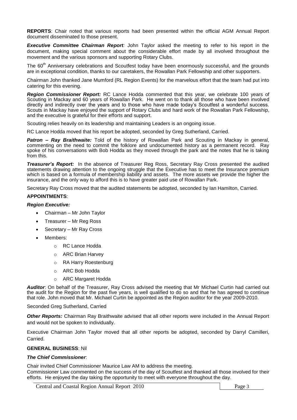**REPORTS**: Chair noted that various reports had been presented within the official AGM Annual Report document disseminated to those present.

*Executive Committee Chairman Report:* John Taylor asked the meeting to refer to his report in the document, making special comment about the considerable effort made by all involved throughout the movement and the various sponsors and supporting Rotary Clubs.

The 60<sup>th</sup> Anniversary celebrations and Scoutfest today have been enormously successful, and the grounds are in exceptional condition, thanks to our caretakers, the Rowallan Park Fellowship and other supporters.

Chairman John thanked Jane Mumford (RL Region Events) for the marvelous effort that the team had put into catering for this evening.

*Region Commissioner Report:* RC Lance Hodda commented that this year, we celebrate 100 years of Scouting in Mackay and 60 years of Rowallan Park. He went on to thank all those who have been involved directly and indirectly over the years and to those who have made today's Scoutfest a wonderful success. Scouts in Mackay have enjoyed the support of Rotary Clubs and hard work of the Rowallan Park Fellowship, and the executive is grateful for their efforts and support.

Scouting relies heavily on its leadership and maintaining Leaders is an ongoing issue.

RC Lance Hodda moved that his report be adopted, seconded by Greg Sutherland, Carried.

*Patron – Ray Braithwaite:* Told of the history of Rowallan Park and Scouting in Mackay in general, commenting on the need to commit the folklore and undocumented history as a permanent record. Ray spoke of his conversations with Bob Hodda as they moved through the park and the notes that he is taking from this.

*Treasurer's Report:* In the absence of Treasurer Reg Ross, Secretary Ray Cross presented the audited statements drawing attention to the ongoing struggle that the Executive has to meet the Insurance premium which is based on a formula of membership liability and assets. The more assets we provide the higher the insurance, and the only way to afford this is to have greater paid use of Rowallan Park.

Secretary Ray Cross moved that the audited statements be adopted, seconded by Ian Hamilton, Carried.

#### **APPOINTMENTS**:

#### *Region Executive:*

- Chairman Mr John Taylor
- Treasurer Mr Reg Ross
- Secretary Mr Ray Cross
- Members:
	- o RC Lance Hodda
	- o ARC Brian Harvey
	- o RA Harry Roestenburg
	- o ARC Bob Hodda
	- o ARC Margaret Hodda

*Auditor*: On behalf of the Treasurer, Ray Cross advised the meeting that Mr Michael Curtin had carried out the audit for the Region for the past five years, is well qualified to do so and that he has agreed to continue that role. John moved that Mr. Michael Curtin be appointed as the Region auditor for the year 2009-2010.

Seconded Greg Sutherland, Carried

*Other Reports:* Chairman Ray Braithwaite advised that all other reports were included in the Annual Report and would not be spoken to individually.

Executive Chairman John Taylor moved that all other reports be adopted, seconded by Darryl Camilleri, Carried.

#### **GENERAL BUSINESS**: Nil

#### *The Chief Commissioner*:

Chair invited Chief Commissioner Maurice Law AM to address the meeting. Commissioner Law commented on the success of the day of Scoutfest and thanked all those involved for their efforts. He enjoyed the day taking the opportunity to meet with everyone throughout the day.

Central and Coastal Region Annual Report 2010 Page 3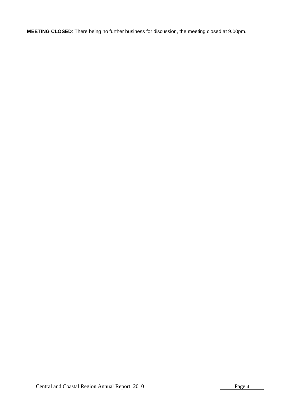**MEETING CLOSED**: There being no further business for discussion, the meeting closed at 9.00pm.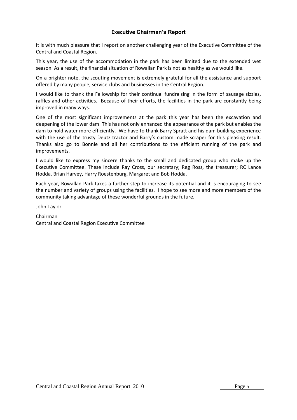# **Executive Chairman's Report**

It is with much pleasure that I report on another challenging year of the Executive Committee of the Central and Coastal Region.

This year, the use of the accommodation in the park has been limited due to the extended wet season. As a result, the financial situation of Rowallan Park is not as healthy as we would like.

On a brighter note, the scouting movement is extremely grateful for all the assistance and support offered by many people, service clubs and businesses in the Central Region.

I would like to thank the Fellowship for their continual fundraising in the form of sausage sizzles, raffles and other activities. Because of their efforts, the facilities in the park are constantly being improved in many ways.

One of the most significant improvements at the park this year has been the excavation and deepening of the lower dam. This has not only enhanced the appearance of the park but enables the dam to hold water more efficiently. We have to thank Barry Spratt and his dam building experience with the use of the trusty Deutz tractor and Barry's custom made scraper for this pleasing result. Thanks also go to Bonnie and all her contributions to the efficient running of the park and improvements.

I would like to express my sincere thanks to the small and dedicated group who make up the Executive Committee. These include Ray Cross, our secretary; Reg Ross, the treasurer; RC Lance Hodda, Brian Harvey, Harry Roestenburg, Margaret and Bob Hodda.

Each year, Rowallan Park takes a further step to increase its potential and it is encouraging to see the number and variety of groups using the facilities. I hope to see more and more members of the community taking advantage of these wonderful grounds in the future.

John Taylor

Chairman Central and Coastal Region Executive Committee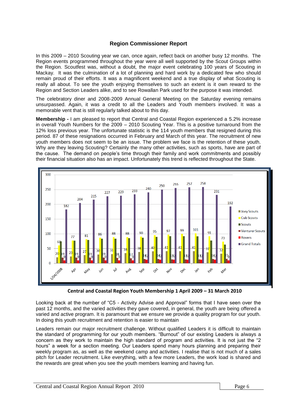# **Region Commissioner Report**

In this 2009 – 2010 Scouting year we can, once again, reflect back on another busy 12 months. The Region events programmed throughout the year were all well supported by the Scout Groups within the Region. Scoutfest was, without a doubt, the major event celebrating 100 years of Scouting in Mackay. It was the culmination of a lot of planning and hard work by a dedicated few who should remain proud of their efforts. It was a magnificent weekend and a true display of what Scouting is really all about. To see the youth enjoying themselves to such an extent is it own reward to the Region and Section Leaders alike, and to see Rowallan Park used for the purpose it was intended.

The celebratory diner and 2008-2009 Annual General Meeting on the Saturday evening remains unsurpassed. Again, it was a credit to all the Leaders and Youth members involved. It was a memorable vent that is still regularly talked about to this day.

**Membership -** I am pleased to report that Central and Coastal Region experienced a 5.2% increase in overall Youth Numbers for the 2009 – 2010 Scouting Year. This is a positive turnaround from the 12% loss previous year. The unfortunate statistic is the 114 youth members that resigned during this period. 87 of these resignations occurred in February and March of this year. The recruitment of new youth members does not seem to be an issue. The problem we face is the retention of these youth. Why are they leaving Scouting? Certainly the many other activities, such as sports, have are part of the cause. The demand on people's time through their family and work commitments and possibly their financial situation also has an impact. Unfortunately this trend is reflected throughout the State.



**Central and Coastal Region Youth Membership 1 April 2009 – 31 March 2010**

Looking back at the number of "C5 - Activity Advise and Approval" forms that I have seen over the past 12 months, and the varied activities they gave covered, in general, the youth are being offered a varied and active program. It is paramount that we ensure we provide a quality program for our youth. In doing this youth recruitment and retention is easier to maintain

Leaders remain our major recruitment challenge. Without qualified Leaders it is difficult to maintain the standard of programming for our youth members. "Burnout" of our existing Leaders is always a concern as they work to maintain the high standard of program and activities. It is not just the "2 hours" a week for a section meeting. Our Leaders spend many hours planning and preparing their weekly program as, as well as the weekend camp and activities. I realise that is not much of a sales pitch for Leader recruitment. Like everything, with a few more Leaders, the work load is shared and the rewards are great when you see the youth members learning and having fun.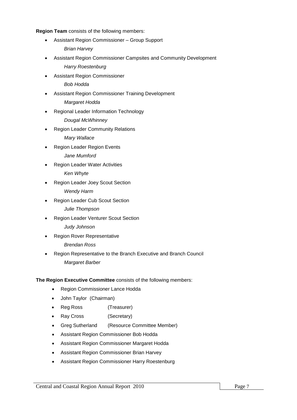**Region Team** consists of the following members:

- Assistant Region Commissioner Group Support *Brian Harvey*
- Assistant Region Commissioner Campsites and Community Development *Harry Roestenburg*
- Assistant Region Commissioner

*Bob Hodda*

- Assistant Region Commissioner Training Development *Margaret Hodda*
- Regional Leader Information Technology

*Dougal McWhinney*

Region Leader Community Relations

*Mary Wallace*

- Region Leader Region Events *Jane Mumford*
- Region Leader Water Activities

*Ken Whyte*

Region Leader Joey Scout Section

*Wendy Harm*

Region Leader Cub Scout Section

*Julie Thompson*

Region Leader Venturer Scout Section

*Judy Johnson*

Region Rover Representative

*Brendan Ross*

 Region Representative to the Branch Executive and Branch Council *Margaret Barber*

**The Region Executive Committee** consists of the following members:

- Region Commissioner Lance Hodda
- John Taylor (Chairman)
- Reg Ross (Treasurer)
- Ray Cross (Secretary)
- Greg Sutherland (Resource Committee Member)
- Assistant Region Commissioner Bob Hodda
- Assistant Region Commissioner Margaret Hodda
- Assistant Region Commissioner Brian Harvey
- Assistant Region Commissioner Harry Roestenburg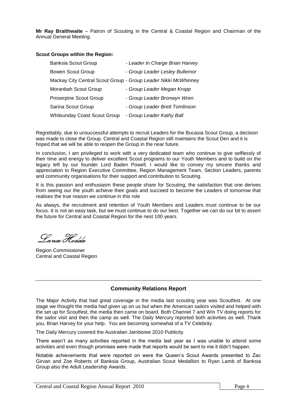**Mr Ray Braithwaite** – Patron of Scouting in the Central & Coastal Region and Chairman of the Annual General Meeting.

#### **Scout Groups within the Region:**

| <b>Banksia Scout Group</b>   | - Leader In Charge Brian Harvey                                |
|------------------------------|----------------------------------------------------------------|
| <b>Bowen Scout Group</b>     | - Group Leader Lesley Bullemor                                 |
|                              | Mackay City Central Scout Group - Group Leader Nikki McWhinney |
| Moranbah Scout Group         | - Group Leader Megan Kropp                                     |
| Proserpine Scout Group       | - Group Leader Bronwyn Wren                                    |
| Sarina Scout Group           | - Group Leader Brett Tomlinson                                 |
| Whitsunday Coast Scout Group | - Group Leader Kathy Ball                                      |

Regrettably, due to unsuccessful attempts to recruit Leaders for the Bucasia Scout Group, a decision was made to close the Group. Central and Coastal Region still maintains the Scout Den and it is hoped that we will be able to reopen the Group in the near future.

In conclusion, I am privileged to work with a very dedicated team who continue to give selflessly of their time and energy to deliver excellent Scout programs to our Youth Members and to build on the legacy left by our founder Lord Baden Powell. I would like to convey my sincere thanks and appreciation to Region Executive Committee, Region Management Team, Section Leaders, parents and community organisations for their support and contribution to Scouting.

It is this passion and enthusiasm these people share for Scouting, the satisfaction that one derives from seeing our the youth achieve their goals and succeed to become the Leaders of tomorrow that realises the true reason we continue in this role

As always, the recruitment and retention of Youth Members and Leaders must continue to be our focus. It is not an easy task, but we must continue to do our best. Together we can do our bit to assert the future for Central and Coastal Region for the nest 100 years.

Lance Hodda

Region Commissioner Central and Coastal Region

# **Community Relations Report**

The Major Activity that had great coverage in the media last scouting year was Scoutfest. At one stage we thought the media had given up on us but when the American sailors visited and helped with the set up for Scoutfest, the media then came on board. Both Channel 7 and Win TV doing reports for the sailor visit and then the camp as well. The Daily Mercury reported both activities as well. Thank you, Brian Harvey for your help. You are becoming somewhat of a TV Celebrity.

The Daily Mercury covered the Australian Jamboree 2010 Publicity.

There wasn't as many activities reported in the media last year as I was unable to attend some activities and even though promises were made that reports would be sent to me it didn't happen.

Notable achievements that were reported on were the Queen's Scout Awards presented to Zac Girvan and Zoe Roberts of Banksia Group, Australian Scout Medallion to Ryan Lamb of Banksia Group also the Adult Leadership Awards.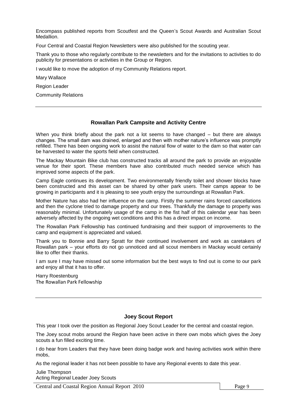Encompass published reports from Scoutfest and the Queen's Scout Awards and Australian Scout **Medallion** 

Four Central and Coastal Region Newsletters were also published for the scouting year.

Thank you to those who regularly contribute to the newsletters and for the invitations to activities to do publicity for presentations or activities in the Group or Region.

I would like to move the adoption of my Community Relations report.

Mary Wallace

Region Leader

Community Relations

## **Rowallan Park Campsite and Activity Centre**

When you think briefly about the park not a lot seems to have changed – but there are always changes. The small dam was drained, enlarged and then with mother nature's influence was promptly refilled. There has been ongoing work to assist the natural flow of water to the dam so that water can be harvested to water the sports field when constructed.

The Mackay Mountain Bike club has constructed tracks all around the park to provide an enjoyable venue for their sport. These members have also contributed much needed service which has improved some aspects of the park.

Camp Eagle continues its development. Two environmentally friendly toilet and shower blocks have been constructed and this asset can be shared by other park users. Their camps appear to be growing in participants and it is pleasing to see youth enjoy the surroundings at Rowallan Park.

Mother Nature has also had her influence on the camp. Firstly the summer rains forced cancellations and then the cyclone tried to damage property and our trees. Thankfully the damage to property was reasonably minimal. Unfortunately usage of the camp in the fist half of this calendar year has been adversely affected by the ongoing wet conditions and this has a direct impact on income.

The Rowallan Park Fellowship has continued fundraising and their support of improvements to the camp and equipment is appreciated and valued.

Thank you to Bonnie and Barry Spratt for their continued involvement and work as caretakers of Rowallan park – your efforts do not go unnoticed and all scout members in Mackay would certainly like to offer their thanks.

I am sure I may have missed out some information but the best ways to find out is come to our park and enjoy all that it has to offer.

Harry Roestenburg The Rowallan Park Fellowship

# **Joey Scout Report**

This year I took over the position as Regional Joey Scout Leader for the central and coastal region.

The Joey scout mobs around the Region have been active in there own mobs which gives the Joey scouts a fun filled exciting time.

I do hear from Leaders that they have been doing badge work and having activities work within there mobs,

As the regional leader it has not been possible to have any Regional events to date this year.

Julie Thompson Acting Regional Leader Joey Scouts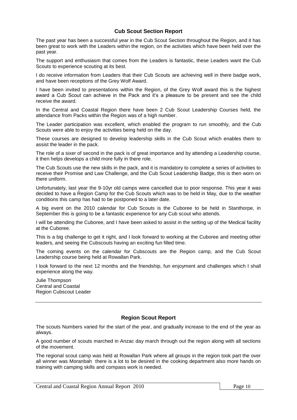## **Cub Scout Section Report**

The past year has been a successful year in the Cub Scout Section throughout the Region, and it has been great to work with the Leaders within the region, on the activities which have been held over the past year.

The support and enthusiasm that comes from the Leaders is fantastic, these Leaders want the Cub Scouts to experience scouting at its best.

I do receive information from Leaders that their Cub Scouts are achieving well in there badge work, and have been receptions of the Grey Wolf Award.

I have been invited to presentations within the Region, of the Grey Wolf award this is the highest award a Cub Scout can achieve in the Pack and it's a pleasure to be present and see the child receive the award.

In the Central and Coastal Region there have been 2 Cub Scout Leadership Courses held, the attendance from Packs within the Region was of a high number.

The Leader participation was excellent, which enabled the program to run smoothly, and the Cub Scouts were able to enjoy the activities being held on the day.

These courses are designed to develop leadership skills in the Cub Scout which enables them to assist the leader in the pack.

The role of a sixer of second in the pack is of great importance and by attending a Leadership course, it then helps develops a child more fully in there role.

The Cub Scouts use the new skills in the pack, and it is mandatory to complete a series of activities to receive their Promise and Law Challenge, and the Cub Scout Leadership Badge, this is then worn on there uniform.

Unfortunately, last year the 9-10yr old camps were cancelled due to poor response. This year it was decided to have a Region Camp for the Cub Scouts which was to be held in May, due to the weather conditions this camp has had to be postponed to a later date.

A big event on the 2010 calendar for Cub Scouts is the Cuboree to be held in Stanthorpe, in September this is going to be a fantastic experience for any Cub scout who attends.

I will be attending the Cuboree, and I have been asked to assist in the setting up of the Medical facility at the Cuboree.

This is a big challenge to get it right, and I look forward to working at the Cuboree and meeting other leaders, and seeing the Cubscouts having an exciting fun filled time.

The coming events on the calendar for Cubscouts are the Region camp, and the Cub Scout Leadership course being held at Rowallan Park.

I look forward to the next 12 months and the friendship, fun enjoyment and challenges which I shall experience along the way.

Julie Thompson Central and Coastal Region Cubscout Leader

# **Region Scout Report**

The scouts Numbers varied for the start of the year, and gradually increase to the end of the year as always.

A good number of scouts marched in Anzac day march through out the region along with all sections of the movement.

The regional scout camp was held at Rowallan Park where all groups in the region took part the over all winner was Moranbah there is a lot to be desired in the cooking department also more hands on training with camping skills and compass work is needed.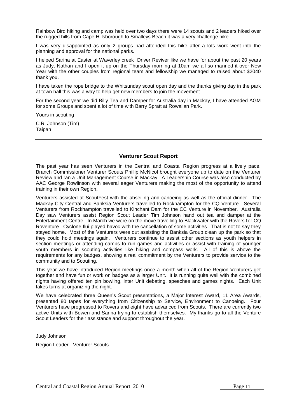Rainbow Bird hiking and camp was held over two days there were 14 scouts and 2 leaders hiked over the rugged hills from Cape Hillsborough to Smalleys Beach it was a very challenge hike.

I was very disappointed as only 2 groups had attended this hike after a lots work went into the planning and approval for the national parks.

I helped Sarina at Easter at Waverley creek Driver Reviver like we have for about the past 20 years as Judy, Nathan and I open it up on the Thursday morning at 10am we all so manned it over New Year with the other couples from regional team and fellowship we managed to raised about \$2040 thank you.

I have taken the rope bridge to the Whitsunday scout open day and the thanks giving day in the park at town hall this was a way to help get new members to join the movement .

For the second year we did Billy Tea and Damper for Australia day in Mackay, I have attended AGM for some Groups and spent a lot of time with Barry Spratt at Rowallan Park.

Yours in scouting

C.R. Johnson (Tim) Taipan

## **Venturer Scout Report**

The past year has seen Venturers in the Central and Coastal Region progress at a lively pace. Branch Commissioner Venturer Scouts Phillip McNicol brought everyone up to date on the Venturer Review and ran a Unit Management Course in Mackay. A Leadership Course was also conducted by AAC George Rowlinson with several eager Venturers making the most of the opportunity to attend training in their own Region.

Venturers assisted at ScoutFest with the abseiling and canoeing as well as the official dinner. The Mackay City Central and Banksia Venturers travelled to Rockhampton for the CQ Venture. Several Venturers from Rockhampton travelled to Kinchant Dam for the CC Venture in November. Australia Day saw Venturers assist Region Scout Leader Tim Johnson hand out tea and damper at the Entertainment Centre. In March we were on the move travelling to Blackwater with the Rovers for CQ Roventure. Cyclone Ilui played havoc with the cancellation of some activities. That is not to say they stayed home. Most of the Venturers were out assisting the Banksia Group clean up the park so that they could hold meetings again. Venturers continue to assist other sections as youth helpers in section meetings or attending camps to run games and activities or assist with training of younger youth members in scouting activities like hiking and compass work. All of this is above the requirements for any badges, showing a real commitment by the Venturers to provide service to the community and to Scouting.

This year we have introduced Region meetings once a month when all of the Region Venturers get together and have fun or work on badges as a larger Unit. It is running quite well with the combined nights having offered ten pin bowling, inter Unit debating, speeches and games nights. Each Unit takes turns at organizing the night.

We have celebrated three Queen's Scout presentations, a Major Interest Award, 11 Area Awards, presented 80 tapes for everything from Citizenship to Service, Environment to Canoeing. Four Venturers have progressed to Rovers and eight have advanced from Scouts. There are currently two active Units with Bowen and Sarina trying to establish themselves. My thanks go to all the Venture Scout Leaders for their assistance and support throughout the year.

Judy Johnson

Region Leader - Venturer Scouts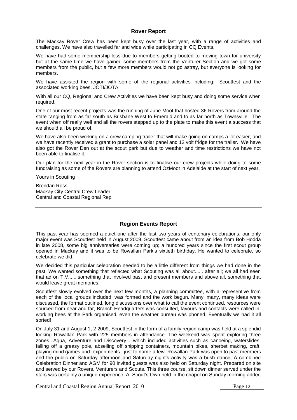### **Rover Report**

The Mackay Rover Crew has been kept busy over the last year, with a range of activities and challenges. We have also travelled far and wide while participating in CQ Events.

We have had some membership loss due to members getting booted to moving town for university but at the same time we have gained some members from the Venturer Section and we got some members from the public, but a few more members would not go astray, but everyone is looking for members.

We have assisted the region with some of the regional activities including:- Scoutfest and the associated working bees, JOTI/JOTA.

With all our CQ, Regional and Crew Activities we have been kept busy and doing some service when required.

One of our most recent projects was the running of June Moot that hosted 36 Rovers from around the state ranging from as far south as Brisbane West to Emerald and to as far north as Townsville. The event when off really well and all the rovers stepped up to the plate to make this event a success that we should all be proud of.

We have also been working on a crew camping trailer that will make going on camps a lot easier, and we have recently received a grant to purchase a solar panel and 12 volt fridge for the trailer. We have also got the Rover Den out at the scout park but due to weather and time restrictions we have not been able to finalise it.

Our plan for the next year in the Rover section is to finalise our crew projects while doing to some fundraising as some of the Rovers are planning to attend OzMoot in Adelaide at the start of next year.

Yours in Scouting

Brendan Ross Mackay City Central Crew Leader Central and Coastal Regional Rep

# **Region Events Report**

This past year has seemed a quiet one after the last two years of centenary celebrations, our only major event was Scoutfest held in August 2009. Scoutfest came about from an idea from Bob Hodda in late 2008, some big anniversaries were coming up; a hundred years since the first scout group opened in Mackay and it was to be Rowallan Park's sixtieth birthday. He wanted to celebrate, so celebrate we did.

We decided this particular celebration needed to be a little different from things we had done in the past. We wanted something that reflected what Scouting was all about...... after all; we all had seen that ad on T.V.......something that involved past and present members and above all, something that would leave great memories.

Scoutfest slowly evolved over the next few months, a planning committee, with a representive from each of the local groups included, was formed and the work begun. Many, many, many ideas were discussed, the format outlined, long discussions over what to call the event continued, resources were sourced from near and far, Branch Headquarters was consulted, favours and contacts were called in, working bees at the Park organised, even the weather bureau was phoned. Eventually we had it all sorted!

On July 31 and August 1, 2 2009, Scoutfest in the form of a family region camp was held at a splendid looking Rowallan Park with 225 members in attendance. The weekend was spent exploring three zones...Aqua, Adventure and Discovery.....which included activities such as canoeing, waterslides, falling off a greasy pole, abseiling off shipping containers, mountain bikes, sherbet making, craft, playing mind games and experiments...just to name a few. Rowallan Park was open to past members and the public on Saturday afternoon and Saturday night's activity was a bush dance. A combined Celebration Dinner and AGM for 90 invited guests was also held on Saturday night. Prepared on site and served by our Rovers, Venturers and Scouts. This three course, sit down dinner served under the stars was certainly a unique experience. A Scout's Own held in the chapel on Sunday morning added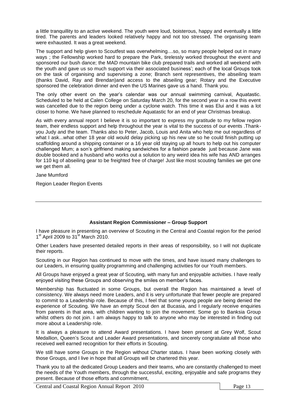a little tranquillity to an active weekend. The youth were loud, boisterous, happy and eventually a little tired. The parents and leaders looked relatively happy and not too stressed. The organising team were exhausted. It was a great weekend.

The support and help given to Scoutfest was overwhelming....so, so many people helped out in many ways ; the Fellowship worked hard to prepare the Park, tirelessly worked throughout the event and sponsored our bush dance; the MAD mountain bike club prepared trails and worked all weekend with the youth and gave us so much support via their associated business'; each of the local Groups took on the task of organising and supervising a zone; Branch sent representives, the abseiling team (thanks David, Ray and Brendan)and access to the abseiling gear; Rotary and the Executive sponsored the celebration dinner and even the US Marines gave us a hand. Thank you.

The only other event on the year's calendar was our annual swimming carnival, Aquatastic. Scheduled to be held at Calen College on Saturday March 20, for the second year in a row this event was cancelled due to the region being under a cyclone watch. This time it was Elui and it was a lot closer to home. We have planned to reschedule Aquatastic for an end of year Christmas breakup.

As with every annual report I believe it is so important to express my gratitude to my fellow region team, their endless support and help throughout the year is vital to the success of our events .Thankyou Judy and the team. Thanks also to Peter, Jacob, Louis and Anita who help me out regardless of what I ask...what other 18 year old would delay picking up his new ute so he could finish putting up scaffolding around a shipping container or a 16 year old staying up all hours to help out his computer challenged Mum; a son's girlfriend making sandwiches for a fashion parade just because Jane was double booked and a husband who works out a solution to any weird idea his wife has AND arranges for 110 kg of abseiling gear to be freighted free of charge! Just like most scouting families we get one we get them all.

Jane Mumford

Region Leader Region Events

# **Assistant Region Commissioner – Group Support**

I have pleasure in presenting an overview of Scouting in the Central and Coastal region for the period 1<sup>st</sup> April 2009 to 31<sup>st</sup> March 2010.

Other Leaders have presented detailed reports in their areas of responsibility, so I will not duplicate their reports.

Scouting in our Region has continued to move with the times, and have issued many challenges to our Leaders, in ensuring quality programming and challenging activities for our Youth members.

All Groups have enjoyed a great year of Scouting, with many fun and enjoyable activities. I have really enjoyed visiting these Groups and observing the smiles on member's faces.

Membership has fluctuated in some Groups, but overall the Region has maintained a level of consistency. We always need more Leaders, and it is very unfortunate that fewer people are prepared to commit to a Leadership role. Because of this, I feel that some young people are being denied the experience of Scouting. We have an empty Scout den at Bucasia, and I regularly receive enquiries from parents in that area, with children wanting to join the movement. Some go to Banksia Group whilst others do not join. I am always happy to talk to anyone who may be interested in finding out more about a Leadership role.

It is always a pleasure to attend Award presentations. I have been present at Grey Wolf, Scout Medallion, Queen's Scout and Leader Award presentations, and sincerely congratulate all those who received well earned recognition for their efforts in Scouting.

We still have some Groups in the Region without Charter status. I have been working closely with those Groups, and I live in hope that all Groups will be chartered this year.

Thank you to all the dedicated Group Leaders and their teams, who are constantly challenged to meet the needs of the Youth members, through the successful, exciting, enjoyable and safe programs they present. Because of those efforts and commitment,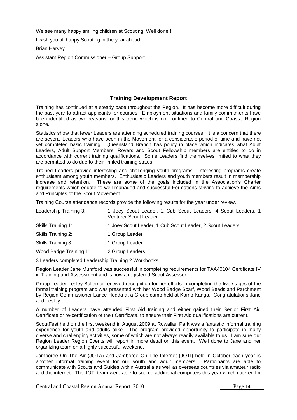We see many happy smiling children at Scouting. Well done!!

I wish you all happy Scouting in the year ahead.

Brian Harvey

Assistant Region Commissioner – Group Support.

# **Training Development Report**

Training has continued at a steady pace throughout the Region. It has become more difficult during the past year to attract applicants for courses. Employment situations and family commitments have been identified as two reasons for this trend which is not confined to Central and Coastal Region alone.

Statistics show that fewer Leaders are attending scheduled training courses. It is a concern that there are several Leaders who have been in the Movement for a considerable period of time and have not yet completed basic training. Queensland Branch has policy in place which indicates what Adult Leaders, Adult Support Members, Rovers and Scout Fellowship members are entitled to do in accordance with current training qualifications. Some Leaders find themselves limited to what they are permitted to do due to their limited training status.

Trained Leaders provide interesting and challenging youth programs. Interesting programs create enthusiasm among youth members. Enthusiastic Leaders and youth members result in membership increase and retention. These are some of the goals included in the Association's Charter requirements which equate to well managed and successful Formations striving to achieve the Aims and Principles of the Scout Movement.

Training Course attendance records provide the following results for the year under review.

| 1 Joey Scout Leader, 2 Cub Scout Leaders, 4 Scout Leaders, 1<br>Venturer Scout Leader |
|---------------------------------------------------------------------------------------|
| 1 Joey Scout Leader, 1 Cub Scout Leader, 2 Scout Leaders                              |
| 1 Group Leader                                                                        |
| 1 Group Leader                                                                        |
| 2 Group Leaders                                                                       |
|                                                                                       |

3 Leaders completed Leadership Training 2 Workbooks.

Region Leader Jane Mumford was successful in completing requirements for TAA40104 Certificate IV in Training and Assessment and is now a registered Scout Assessor.

Group Leader Lesley Bullemor received recognition for her efforts in completing the five stages of the formal training program and was presented with her Wood Badge Scarf, Wood Beads and Parchment by Region Commissioner Lance Hodda at a Group camp held at Kamp Kanga. Congratulations Jane and Lesley.

A number of Leaders have attended First Aid training and either gained their Senior First Aid Certificate or re-certification of their Certificate, to ensure their First Aid qualifications are current.

ScoutFest held on the first weekend in August 2009 at Rowallan Park was a fantastic informal training experience for youth and adults alike. The program provided opportunity to participate in many diverse and challenging activities, some of which are not always readily available to us. I am sure our Region Leader Region Events will report in more detail on this event. Well done to Jane and her organizing team on a highly successful weekend.

Jamboree On The Air (JOTA) and Jamboree On The Internet (JOTI) held in October each year is another informal training event for our youth and adult members. Participants are able to communicate with Scouts and Guides within Australia as well as overseas countries via amateur radio and the internet. The JOTI team were able to source additional computers this year which catered for